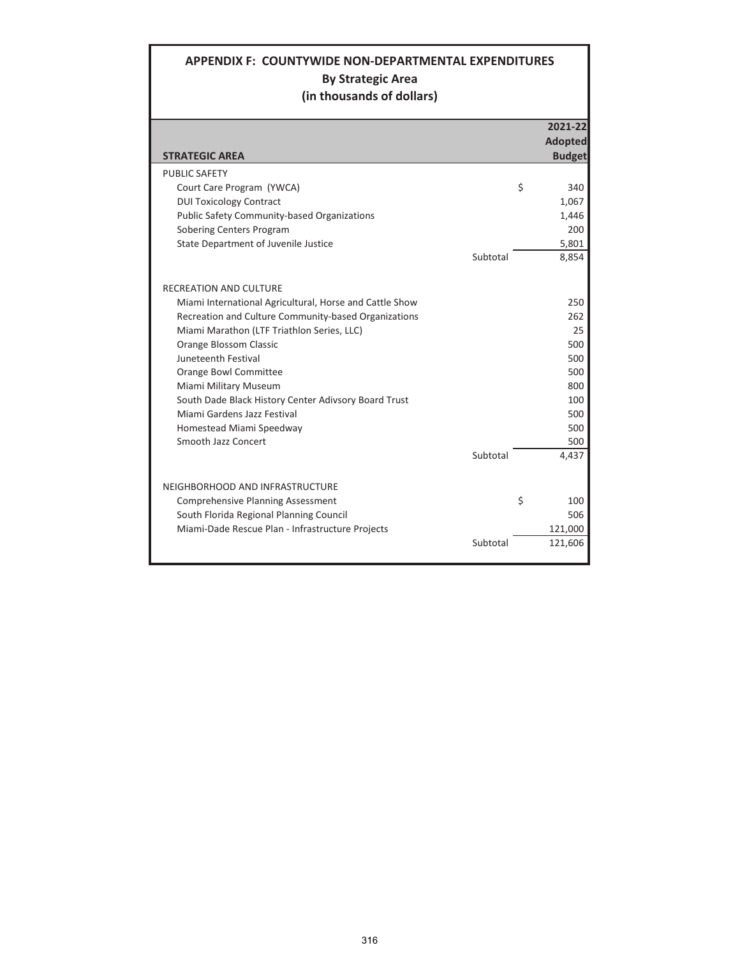## **APPENDIX F: COUNTYWIDE NON-DEPARTMENTAL EXPENDITURES By Strategic Area (in thousands of dollars)**

|                                                         |          |    | 2021-22        |
|---------------------------------------------------------|----------|----|----------------|
|                                                         |          |    | <b>Adopted</b> |
| <b>STRATEGIC AREA</b>                                   |          |    | <b>Budget</b>  |
| <b>PUBLIC SAFETY</b>                                    |          |    |                |
| Court Care Program (YWCA)                               |          | \$ | 340            |
| <b>DUI Toxicology Contract</b>                          |          |    | 1.067          |
| <b>Public Safety Community-based Organizations</b>      |          |    | 1,446          |
| Sobering Centers Program                                |          |    | 200            |
| State Department of Juvenile Justice                    |          |    | 5,801          |
|                                                         | Subtotal |    | 8,854          |
| <b>RECREATION AND CULTURE</b>                           |          |    |                |
| Miami International Agricultural, Horse and Cattle Show |          |    | 250            |
| Recreation and Culture Community-based Organizations    |          |    | 262            |
| Miami Marathon (LTF Triathlon Series, LLC)              |          |    | 25             |
| <b>Orange Blossom Classic</b>                           |          |    | 500            |
| Juneteenth Festival                                     |          |    | 500            |
| Orange Bowl Committee                                   |          |    | 500            |
| Miami Military Museum                                   |          |    | 800            |
| South Dade Black History Center Adivsory Board Trust    |          |    | 100            |
| Miami Gardens Jazz Festival                             |          |    | 500            |
| Homestead Miami Speedway                                |          |    | 500            |
| Smooth Jazz Concert                                     |          |    | 500            |
|                                                         | Subtotal |    | 4,437          |
| NEIGHBORHOOD AND INFRASTRUCTURE                         |          |    |                |
| <b>Comprehensive Planning Assessment</b>                |          | Ś  | 100            |
| South Florida Regional Planning Council                 |          |    | 506            |
| Miami-Dade Rescue Plan - Infrastructure Projects        |          |    | 121,000        |
|                                                         | Subtotal |    | 121,606        |
|                                                         |          |    |                |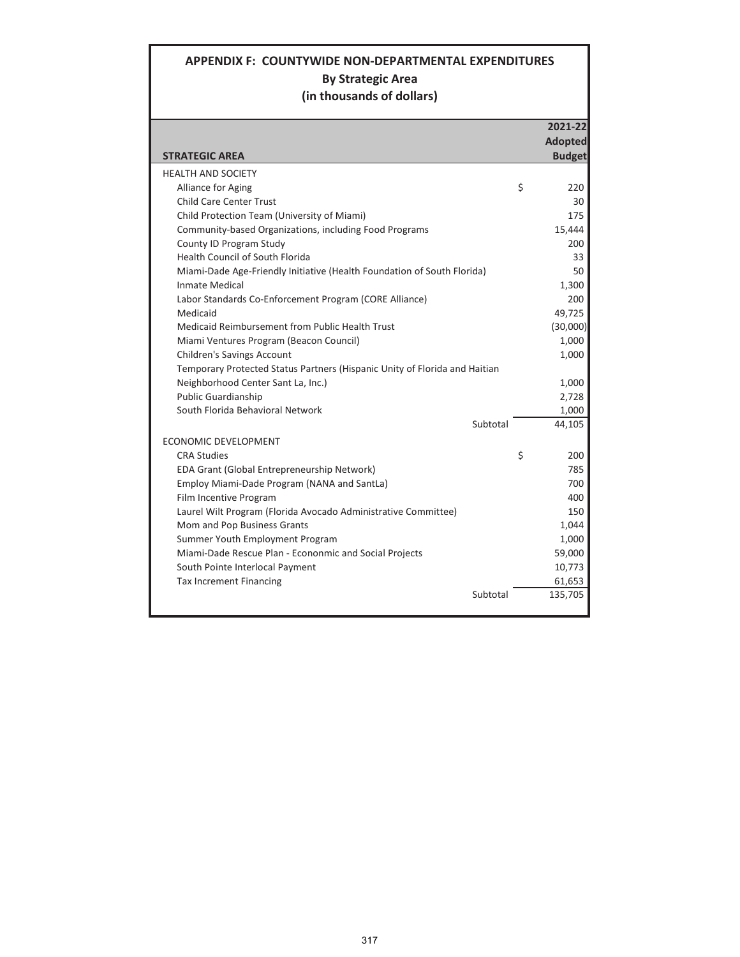## **APPENDIX F: COUNTYWIDE NON-DEPARTMENTAL EXPENDITURES By Strategic Area (in thousands of dollars)**

|                                                                            | 2021-22        |
|----------------------------------------------------------------------------|----------------|
|                                                                            | <b>Adopted</b> |
| <b>STRATEGIC AREA</b>                                                      | <b>Budget</b>  |
| <b>HEALTH AND SOCIETY</b>                                                  |                |
| Alliance for Aging                                                         | \$<br>220      |
| <b>Child Care Center Trust</b>                                             | 30             |
| Child Protection Team (University of Miami)                                | 175            |
| Community-based Organizations, including Food Programs                     | 15,444         |
| County ID Program Study                                                    | 200            |
| <b>Health Council of South Florida</b>                                     | 33             |
| Miami-Dade Age-Friendly Initiative (Health Foundation of South Florida)    | 50             |
| Inmate Medical                                                             | 1,300          |
| Labor Standards Co-Enforcement Program (CORE Alliance)                     | 200            |
| Medicaid                                                                   | 49,725         |
| Medicaid Reimbursement from Public Health Trust                            | (30,000)       |
| Miami Ventures Program (Beacon Council)                                    | 1,000          |
| <b>Children's Savings Account</b>                                          | 1,000          |
| Temporary Protected Status Partners (Hispanic Unity of Florida and Haitian |                |
| Neighborhood Center Sant La, Inc.)                                         | 1,000          |
| <b>Public Guardianship</b>                                                 | 2,728          |
| South Florida Behavioral Network                                           | 1,000          |
| Subtotal                                                                   | 44,105         |
| ECONOMIC DEVELOPMENT                                                       |                |
| <b>CRA Studies</b>                                                         | \$<br>200      |
| EDA Grant (Global Entrepreneurship Network)                                | 785            |
| Employ Miami-Dade Program (NANA and SantLa)                                | 700            |
| Film Incentive Program                                                     | 400            |
| Laurel Wilt Program (Florida Avocado Administrative Committee)             | 150            |
| Mom and Pop Business Grants                                                | 1,044          |
| Summer Youth Employment Program                                            | 1,000          |
| Miami-Dade Rescue Plan - Econonmic and Social Projects                     | 59,000         |
| South Pointe Interlocal Payment                                            | 10,773         |
| <b>Tax Increment Financing</b>                                             | 61,653         |
| Subtotal                                                                   | 135,705        |
|                                                                            |                |